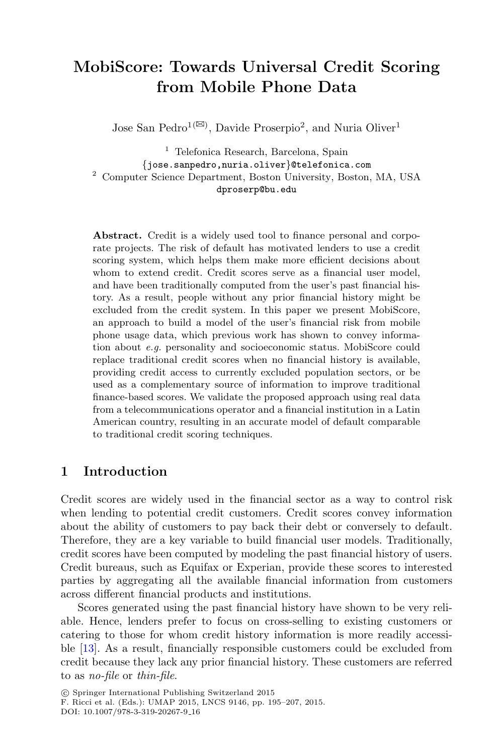# **MobiScore: Towards Universal Credit Scoring from Mobile Phone Data**

Jose San Pedro<sup>1( $\boxtimes$ )</sup>, Davide Proserpio<sup>2</sup>, and Nuria Oliver<sup>1</sup>

<sup>1</sup> Telefonica Research, Barcelona, Spain *{*jose.sanpedro,nuria.oliver*}*@telefonica.com <sup>2</sup> Computer Science Department, Boston University, Boston, MA, USA dproserp@bu.edu

**Abstract.** Credit is a widely used tool to finance personal and corporate projects. The risk of default has motivated lenders to use a credit scoring system, which helps them make more efficient decisions about whom to extend credit. Credit scores serve as a financial user model, and have been traditionally computed from the user's past financial history. As a result, people without any prior financial history might be excluded from the credit system. In this paper we present MobiScore, an approach to build a model of the user's financial risk from mobile phone usage data, which previous work has shown to convey information about *e.g.* personality and socioeconomic status. MobiScore could replace traditional credit scores when no financial history is available, providing credit access to currently excluded population sectors, or be used as a complementary source of information to improve traditional finance-based scores. We validate the proposed approach using real data from a telecommunications operator and a financial institution in a Latin American country, resulting in an accurate model of default comparable to traditional credit scoring techniques.

### **1 Introduction**

Credit scores are widely used in the financial sector as a way to control risk when lending to potential credit customers. Credit scores convey information about the ability of customers to pay back their debt or conversely to default. Therefore, they are a key variable to build financial user models. Traditionally, credit scores have been computed by modeling the past financial history of users. Credit bureaus, such as Equifax or Experian, provide these scores to interested parties by aggregating all the available financial information from customers across different financial products and institutions.

Scores generated using the past financial history have shown to be very reliable. Hence, lenders prefer to focus on cross-selling to existing customers or catering to those for whom credit history information is more readily accessible [\[13](#page-11-0)]. As a result, financially responsible customers could be excluded from credit because they lack any prior financial history. These customers are referred to as *no-file* or *thin-file*.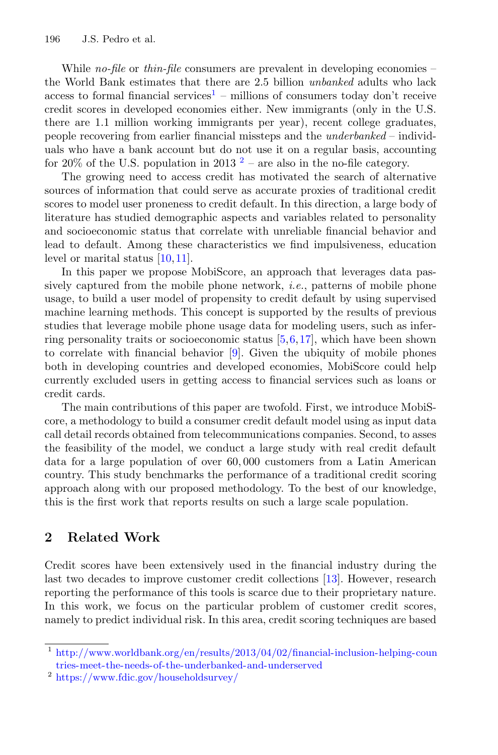While *no-file* or *thin-file* consumers are prevalent in developing economies – the World Bank estimates that there are 2.5 billion *unbanked* adults who lack access to formal financial services<sup>1</sup> – millions of consumers today don't receive credit scores in developed economies either. New immigrants (only in the U.S. there are 1.1 million working immigrants per year), recent college graduates, people recovering from earlier financial missteps and the *underbanked* – individuals who have a bank account but do not use it on a regular basis, accounting for 20% of the U.S. population in 2013<sup>2</sup> – are also in the no-file category.

The growing need to access credit has motivated the search of alternative sources of information that could serve as accurate proxies of traditional credit scores to model user proneness to credit default. In this direction, a large body of literature has studied demographic aspects and variables related to personality and socioeconomic status that correlate with unreliable financial behavior and lead to default. Among these characteristics we find impulsiveness, education level or marital status [\[10](#page-11-1)[,11](#page-11-2)].

In this paper we propose MobiScore, an approach that leverages data passively captured from the mobile phone network, *i.e.*, patterns of mobile phone usage, to build a user model of propensity to credit default by using supervised machine learning methods. This concept is supported by the results of previous studies that leverage mobile phone usage data for modeling users, such as inferring personality traits or socioeconomic status  $[5,6,17]$  $[5,6,17]$  $[5,6,17]$  $[5,6,17]$  $[5,6,17]$ , which have been shown to correlate with financial behavior [\[9\]](#page-11-5). Given the ubiquity of mobile phones both in developing countries and developed economies, MobiScore could help currently excluded users in getting access to financial services such as loans or credit cards.

The main contributions of this paper are twofold. First, we introduce MobiScore, a methodology to build a consumer credit default model using as input data call detail records obtained from telecommunications companies. Second, to asses the feasibility of the model, we conduct a large study with real credit default data for a large population of over 60*,* 000 customers from a Latin American country. This study benchmarks the performance of a traditional credit scoring approach along with our proposed methodology. To the best of our knowledge, this is the first work that reports results on such a large scale population.

### <span id="page-1-0"></span>**2 Related Work**

Credit scores have been extensively used in the financial industry during the last two decades to improve customer credit collections [\[13\]](#page-11-0). However, research reporting the performance of this tools is scarce due to their proprietary nature. In this work, we focus on the particular problem of customer credit scores, namely to predict individual risk. In this area, credit scoring techniques are based

 $^1$ [http://www.worldbank.org/en/results/2013/04/02/financial-inclusion-helping-coun](http://www.worldbank.org/en/results/2013/04/02/financial-inclusion-helping-countries-meet-the-needs-of-the-underbanked-and-underserved) [tries-meet-the-needs-of-the-underbanked-and-underserved](http://www.worldbank.org/en/results/2013/04/02/financial-inclusion-helping-countries-meet-the-needs-of-the-underbanked-and-underserved)

 $^2$ <https://www.fdic.gov/householdsurvey/>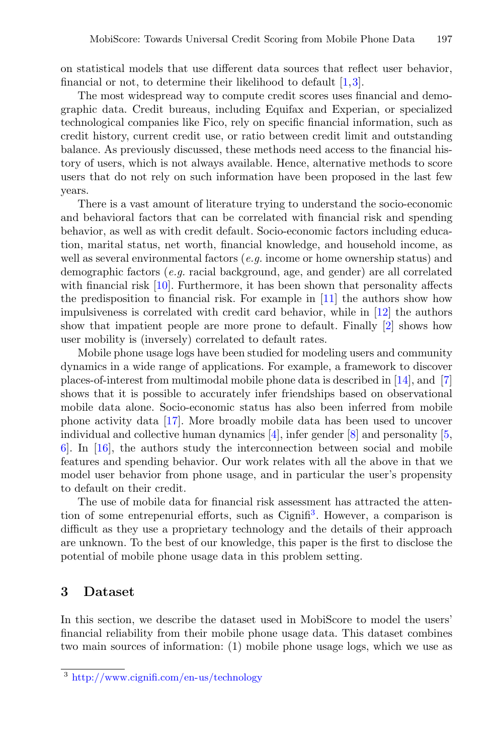on statistical models that use different data sources that reflect user behavior, financial or not, to determine their likelihood to default [\[1](#page-11-6)[,3](#page-11-7)].

The most widespread way to compute credit scores uses financial and demographic data. Credit bureaus, including Equifax and Experian, or specialized technological companies like Fico, rely on specific financial information, such as credit history, current credit use, or ratio between credit limit and outstanding balance. As previously discussed, these methods need access to the financial history of users, which is not always available. Hence, alternative methods to score users that do not rely on such information have been proposed in the last few years.

There is a vast amount of literature trying to understand the socio-economic and behavioral factors that can be correlated with financial risk and spending behavior, as well as with credit default. Socio-economic factors including education, marital status, net worth, financial knowledge, and household income, as well as several environmental factors (*e.g.* income or home ownership status) and demographic factors (*e.g.* racial background, age, and gender) are all correlated with financial risk [\[10](#page-11-1)]. Furthermore, it has been shown that personality affects the predisposition to financial risk. For example in [\[11](#page-11-2)] the authors show how impulsiveness is correlated with credit card behavior, while in [\[12\]](#page-11-8) the authors show that impatient people are more prone to default. Finally [\[2](#page-11-9)] shows how user mobility is (inversely) correlated to default rates.

Mobile phone usage logs have been studied for modeling users and community dynamics in a wide range of applications. For example, a framework to discover places-of-interest from multimodal mobile phone data is described in [\[14](#page-11-10)], and [\[7\]](#page-11-11) shows that it is possible to accurately infer friendships based on observational mobile data alone. Socio-economic status has also been inferred from mobile phone activity data [\[17\]](#page-12-0). More broadly mobile data has been used to uncover individual and collective human dynamics [\[4](#page-11-12)], infer gender [\[8](#page-11-13)] and personality [\[5,](#page-11-3)  $6$ . In [1[6\]](#page-11-4), the authors study the interconnection between social and mobile features and spending behavior. Our work relates with all the above in that we model user behavior from phone usage, and in particular the user's propensity to default on their credit.

The use of mobile data for financial risk assessment has attracted the attention of some entrepenurial efforts, such as  $Cignifi<sup>3</sup>$ . However, a comparison is difficult as they use a proprietary technology and the details of their approach are unknown. To the best of our knowledge, this paper is the first to disclose the potential of mobile phone usage data in this problem setting.

#### <span id="page-2-0"></span>**3 Dataset**

In this section, we describe the dataset used in MobiScore to model the users' financial reliability from their mobile phone usage data. This dataset combines two main sources of information: (1) mobile phone usage logs, which we use as

<sup>3</sup> <http://www.cignifi.com/en-us/technology>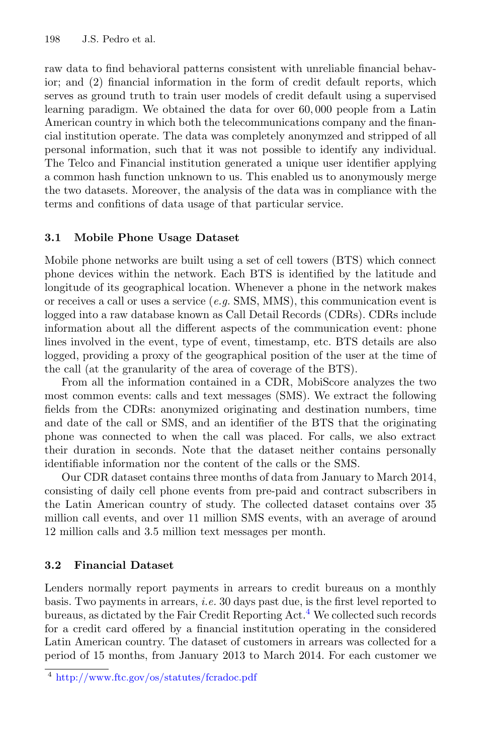raw data to find behavioral patterns consistent with unreliable financial behavior; and (2) financial information in the form of credit default reports, which serves as ground truth to train user models of credit default using a supervised learning paradigm. We obtained the data for over 60*,* 000 people from a Latin American country in which both the telecommunications company and the financial institution operate. The data was completely anonymzed and stripped of all personal information, such that it was not possible to identify any individual. The Telco and Financial institution generated a unique user identifier applying a common hash function unknown to us. This enabled us to anonymously merge the two datasets. Moreover, the analysis of the data was in compliance with the terms and confitions of data usage of that particular service.

#### **3.1 Mobile Phone Usage Dataset**

Mobile phone networks are built using a set of cell towers (BTS) which connect phone devices within the network. Each BTS is identified by the latitude and longitude of its geographical location. Whenever a phone in the network makes or receives a call or uses a service (*e.g.* SMS, MMS), this communication event is logged into a raw database known as Call Detail Records (CDRs). CDRs include information about all the different aspects of the communication event: phone lines involved in the event, type of event, timestamp, etc. BTS details are also logged, providing a proxy of the geographical position of the user at the time of the call (at the granularity of the area of coverage of the BTS).

From all the information contained in a CDR, MobiScore analyzes the two most common events: calls and text messages (SMS). We extract the following fields from the CDRs: anonymized originating and destination numbers, time and date of the call or SMS, and an identifier of the BTS that the originating phone was connected to when the call was placed. For calls, we also extract their duration in seconds. Note that the dataset neither contains personally identifiable information nor the content of the calls or the SMS.

Our CDR dataset contains three months of data from January to March 2014, consisting of daily cell phone events from pre-paid and contract subscribers in the Latin American country of study. The collected dataset contains over 35 million call events, and over 11 million SMS events, with an average of around 12 million calls and 3*.*5 million text messages per month.

#### **3.2 Financial Dataset**

Lenders normally report payments in arrears to credit bureaus on a monthly basis. Two payments in arrears, *i.e.* 30 days past due, is the first level reported to bureaus, as dictated by the Fair Credit Reporting Act.<sup>4</sup> We collected such records for a credit card offered by a financial institution operating in the considered Latin American country. The dataset of customers in arrears was collected for a period of 15 months, from January 2013 to March 2014. For each customer we

<sup>4</sup> <http://www.ftc.gov/os/statutes/fcradoc.pdf>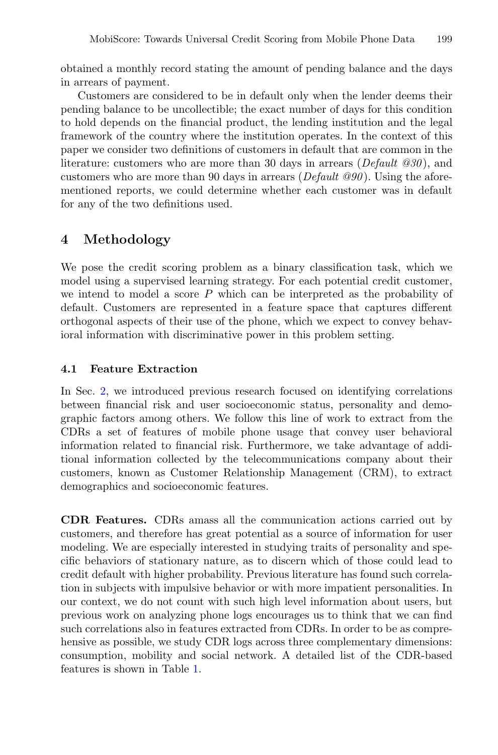obtained a monthly record stating the amount of pending balance and the days in arrears of payment.

Customers are considered to be in default only when the lender deems their pending balance to be uncollectible; the exact number of days for this condition to hold depends on the financial product, the lending institution and the legal framework of the country where the institution operates. In the context of this paper we consider two definitions of customers in default that are common in the literature: customers who are more than 30 days in arrears (*Default @30* ), and customers who are more than 90 days in arrears (*Default @90* ). Using the aforementioned reports, we could determine whether each customer was in default for any of the two definitions used.

### **4 Methodology**

We pose the credit scoring problem as a binary classification task, which we model using a supervised learning strategy. For each potential credit customer, we intend to model a score *P* which can be interpreted as the probability of default. Customers are represented in a feature space that captures different orthogonal aspects of their use of the phone, which we expect to convey behavioral information with discriminative power in this problem setting.

#### **4.1 Feature Extraction**

In Sec. [2,](#page-1-0) we introduced previous research focused on identifying correlations between financial risk and user socioeconomic status, personality and demographic factors among others. We follow this line of work to extract from the CDRs a set of features of mobile phone usage that convey user behavioral information related to financial risk. Furthermore, we take advantage of additional information collected by the telecommunications company about their customers, known as Customer Relationship Management (CRM), to extract demographics and socioeconomic features.

**CDR Features.** CDRs amass all the communication actions carried out by customers, and therefore has great potential as a source of information for user modeling. We are especially interested in studying traits of personality and specific behaviors of stationary nature, as to discern which of those could lead to credit default with higher probability. Previous literature has found such correlation in subjects with impulsive behavior or with more impatient personalities. In our context, we do not count with such high level information about users, but previous work on analyzing phone logs encourages us to think that we can find such correlations also in features extracted from CDRs. In order to be as comprehensive as possible, we study CDR logs across three complementary dimensions: consumption, mobility and social network. A detailed list of the CDR-based features is shown in Table [1.](#page-6-0)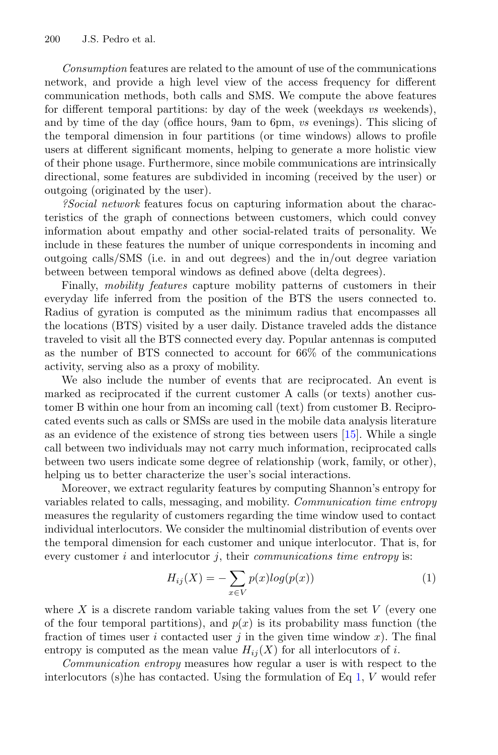*Consumption* features are related to the amount of use of the communications network, and provide a high level view of the access frequency for different communication methods, both calls and SMS. We compute the above features for different temporal partitions: by day of the week (weekdays *vs* weekends), and by time of the day (office hours, 9am to 6pm, *vs* evenings). This slicing of the temporal dimension in four partitions (or time windows) allows to profile users at different significant moments, helping to generate a more holistic view of their phone usage. Furthermore, since mobile communications are intrinsically directional, some features are subdivided in incoming (received by the user) or outgoing (originated by the user).

*?Social network* features focus on capturing information about the characteristics of the graph of connections between customers, which could convey information about empathy and other social-related traits of personality. We include in these features the number of unique correspondents in incoming and outgoing calls/SMS (i.e. in and out degrees) and the in/out degree variation between between temporal windows as defined above (delta degrees).

Finally, *mobility features* capture mobility patterns of customers in their everyday life inferred from the position of the BTS the users connected to. Radius of gyration is computed as the minimum radius that encompasses all the locations (BTS) visited by a user daily. Distance traveled adds the distance traveled to visit all the BTS connected every day. Popular antennas is computed as the number of BTS connected to account for 66% of the communications activity, serving also as a proxy of mobility.

We also include the number of events that are reciprocated. An event is marked as reciprocated if the current customer A calls (or texts) another customer B within one hour from an incoming call (text) from customer B. Reciprocated events such as calls or SMSs are used in the mobile data analysis literature as an evidence of the existence of strong ties between users [\[15](#page-11-14)]. While a single call between two individuals may not carry much information, reciprocated calls between two users indicate some degree of relationship (work, family, or other), helping us to better characterize the user's social interactions.

Moreover, we extract regularity features by computing Shannon's entropy for variables related to calls, messaging, and mobility. *Communication time entropy* measures the regularity of customers regarding the time window used to contact individual interlocutors. We consider the multinomial distribution of events over the temporal dimension for each customer and unique interlocutor. That is, for every customer *i* and interlocutor *j*, their *communications time entropy* is:

$$
H_{ij}(X) = -\sum_{x \in V} p(x) \log(p(x)) \tag{1}
$$

<span id="page-5-0"></span>where *X* is a discrete random variable taking values from the set *V* (every one of the four temporal partitions), and  $p(x)$  is its probability mass function (the fraction of times user *i* contacted user *j* in the given time window  $x$ ). The final entropy is computed as the mean value  $H_{ij}(X)$  for all interlocutors of *i*.

*Communication entropy* measures how regular a user is with respect to the interlocutors (s)he has contacted. Using the formulation of Eq [1,](#page-5-0) *V* would refer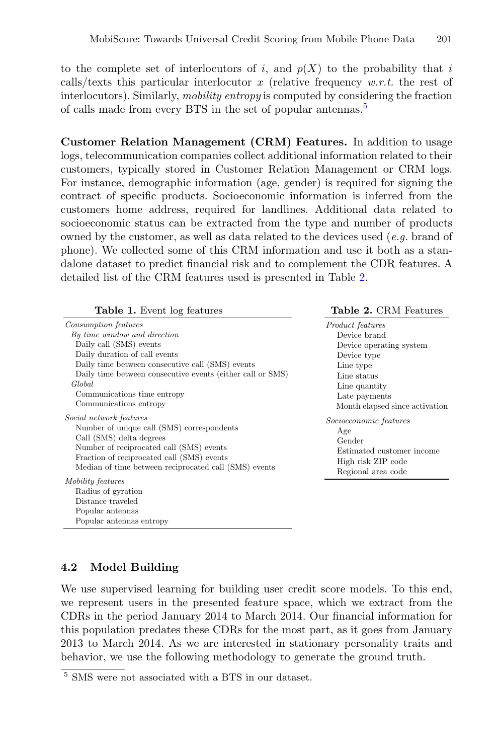to the complete set of interlocutors of  $i$ , and  $p(X)$  to the probability that  $i$ calls/texts this particular interlocutor *x* (relative frequency *w.r.t.* the rest of interlocutors). Similarly, *mobility entropy* is computed by considering the fraction of calls made from every BTS in the set of popular antennas.<sup>5</sup>

**Customer Relation Management (CRM) Features.** In addition to usage logs, telecommunication companies collect additional information related to their customers, typically stored in Customer Relation Management or CRM logs. For instance, demographic information (age, gender) is required for signing the contract of specific products. Socioeconomic information is inferred from the customers home address, required for landlines. Additional data related to socioeconomic status can be extracted from the type and number of products owned by the customer, as well as data related to the devices used (*e.g.* brand of phone). We collected some of this CRM information and use it both as a standalone dataset to predict financial risk and to complement the CDR features. A detailed list of the CRM features used is presented in Table [2.](#page-6-1)

<span id="page-6-1"></span><span id="page-6-0"></span>

| <b>Table 1.</b> Event log features                                                                                                                                                                                                                                                                                                              | Table 2. CRM Features                                                                                                                                                             |
|-------------------------------------------------------------------------------------------------------------------------------------------------------------------------------------------------------------------------------------------------------------------------------------------------------------------------------------------------|-----------------------------------------------------------------------------------------------------------------------------------------------------------------------------------|
| Consumption features<br>By time window and direction<br>Daily call (SMS) events<br>Daily duration of call events<br>Daily time between consecutive call (SMS) events<br>Daily time between consecutive events (either call or SMS)<br>Global<br>Communications time entropy<br>Communications entropy                                           | <i>Product features</i><br>Device brand<br>Device operating system<br>Device type<br>Line type<br>Line status<br>Line quantity<br>Late payments<br>Month elapsed since activation |
| Social network features<br>Number of unique call (SMS) correspondents<br>Call (SMS) delta degrees<br>Number of reciprocated call (SMS) events<br>Fraction of reciprocated call (SMS) events<br>Median of time between reciprocated call (SMS) events<br><i>Mobility features</i><br>Radius of gyration<br>Distance traveled<br>Popular antennas | Socioeconomic features<br>Age<br>Gender<br>Estimated customer income<br>High risk ZIP code<br>Regional area code                                                                  |

#### **4.2 Model Building**

Popular antennas entropy

We use supervised learning for building user credit score models. To this end, we represent users in the presented feature space, which we extract from the CDRs in the period January 2014 to March 2014. Our financial information for this population predates these CDRs for the most part, as it goes from January 2013 to March 2014. As we are interested in stationary personality traits and behavior, we use the following methodology to generate the ground truth.

<sup>5</sup> SMS were not associated with a BTS in our dataset.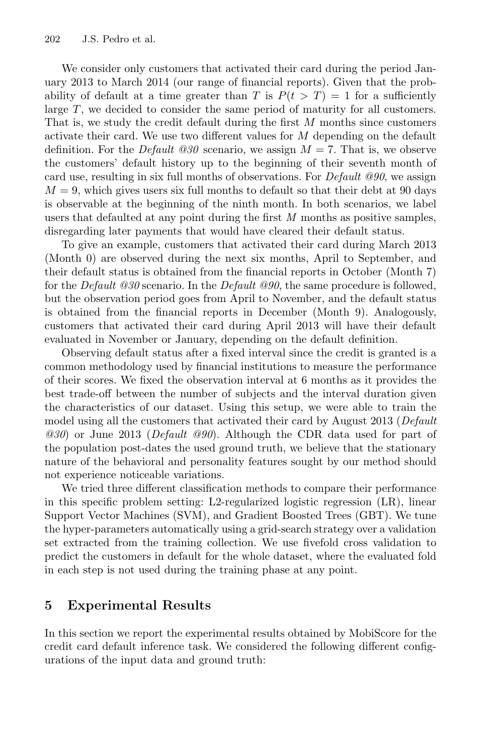We consider only customers that activated their card during the period January 2013 to March 2014 (our range of financial reports). Given that the probability of default at a time greater than *T* is  $P(t>T) = 1$  for a sufficiently large *T*, we decided to consider the same period of maturity for all customers. That is, we study the credit default during the first *M* months since customers activate their card. We use two different values for *M* depending on the default definition. For the *Default @30* scenario, we assign *M* = 7. That is, we observe the customers' default history up to the beginning of their seventh month of card use, resulting in six full months of observations. For *Default @90*, we assign  $M = 9$ , which gives users six full months to default so that their debt at 90 days is observable at the beginning of the ninth month. In both scenarios, we label users that defaulted at any point during the first *M* months as positive samples, disregarding later payments that would have cleared their default status.

To give an example, customers that activated their card during March 2013 (Month 0) are observed during the next six months, April to September, and their default status is obtained from the financial reports in October (Month 7) for the *Default @30* scenario. In the *Default @90*, the same procedure is followed, but the observation period goes from April to November, and the default status is obtained from the financial reports in December (Month 9). Analogously, customers that activated their card during April 2013 will have their default evaluated in November or January, depending on the default definition.

Observing default status after a fixed interval since the credit is granted is a common methodology used by financial institutions to measure the performance of their scores. We fixed the observation interval at 6 months as it provides the best trade-off between the number of subjects and the interval duration given the characteristics of our dataset. Using this setup, we were able to train the model using all the customers that activated their card by August 2013 (*Default @30*) or June 2013 (*Default @90*). Although the CDR data used for part of the population post-dates the used ground truth, we believe that the stationary nature of the behavioral and personality features sought by our method should not experience noticeable variations.

We tried three different classification methods to compare their performance in this specific problem setting: L2-regularized logistic regression (LR), linear Support Vector Machines (SVM), and Gradient Boosted Trees (GBT). We tune the hyper-parameters automatically using a grid-search strategy over a validation set extracted from the training collection. We use fivefold cross validation to predict the customers in default for the whole dataset, where the evaluated fold in each step is not used during the training phase at any point.

### **5 Experimental Results**

In this section we report the experimental results obtained by MobiScore for the credit card default inference task. We considered the following different configurations of the input data and ground truth: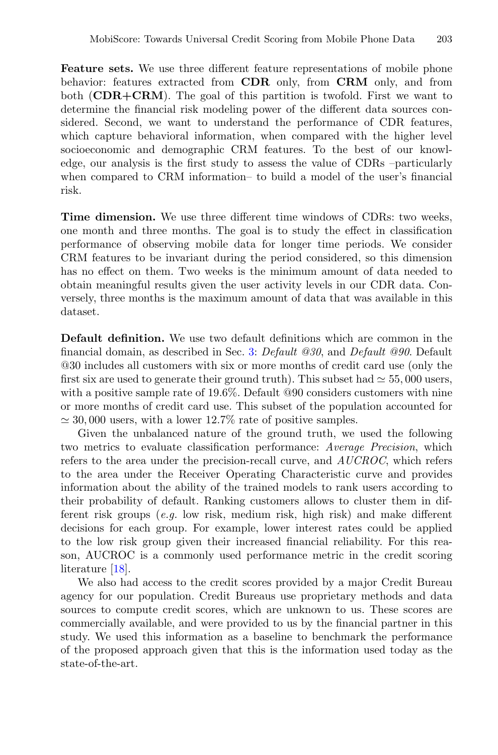**Feature sets.** We use three different feature representations of mobile phone behavior: features extracted from **CDR** only, from **CRM** only, and from both (**CDR+CRM**). The goal of this partition is twofold. First we want to determine the financial risk modeling power of the different data sources considered. Second, we want to understand the performance of CDR features, which capture behavioral information, when compared with the higher level socioeconomic and demographic CRM features. To the best of our knowledge, our analysis is the first study to assess the value of CDRs –particularly when compared to CRM information– to build a model of the user's financial risk.

**Time dimension.** We use three different time windows of CDRs: two weeks, one month and three months. The goal is to study the effect in classification performance of observing mobile data for longer time periods. We consider CRM features to be invariant during the period considered, so this dimension has no effect on them. Two weeks is the minimum amount of data needed to obtain meaningful results given the user activity levels in our CDR data. Conversely, three months is the maximum amount of data that was available in this dataset.

**Default definition.** We use two default definitions which are common in the financial domain, as described in Sec. [3:](#page-2-0) *Default @30*, and *Default @90*. Default @30 includes all customers with six or more months of credit card use (only the first six are used to generate their ground truth). This subset had  $\simeq 55,000$  users, with a positive sample rate of 19.6%. Default  $@90$  considers customers with pine with a positive sample rate of 19.6%. Default  $@90$  considers customers with nine or more months of credit card use. This subset of the population accounted for  $\simeq 30,000$  users, with a lower 12.7% rate of positive samples.<br>Civen the unbalanced nature of the ground truth we

Given the unbalanced nature of the ground truth, we used the following two metrics to evaluate classification performance: *Average Precision*, which refers to the area under the precision-recall curve, and *AUCROC*, which refers to the area under the Receiver Operating Characteristic curve and provides information about the ability of the trained models to rank users according to their probability of default. Ranking customers allows to cluster them in different risk groups (*e.g.* low risk, medium risk, high risk) and make different decisions for each group. For example, lower interest rates could be applied to the low risk group given their increased financial reliability. For this reason, AUCROC is a commonly used performance metric in the credit scoring literature [\[18](#page-12-2)].

We also had access to the credit scores provided by a major Credit Bureau agency for our population. Credit Bureaus use proprietary methods and data sources to compute credit scores, which are unknown to us. These scores are commercially available, and were provided to us by the financial partner in this study. We used this information as a baseline to benchmark the performance of the proposed approach given that this is the information used today as the state-of-the-art.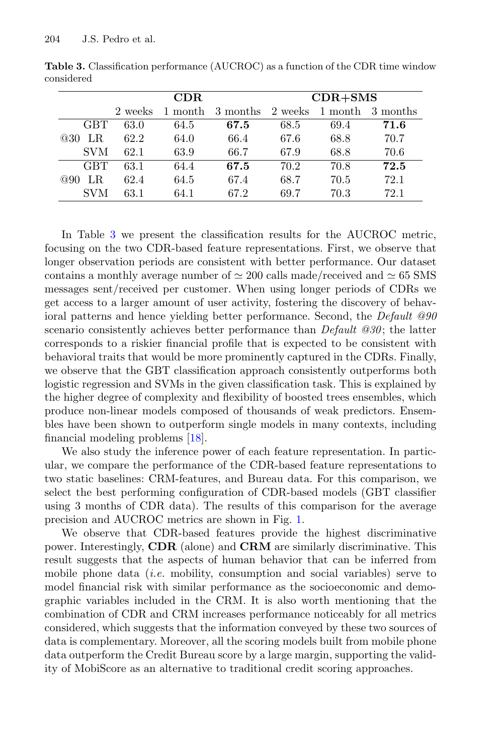|               | CDR.    |         |                  | $CDR + SMS$ |         |            |
|---------------|---------|---------|------------------|-------------|---------|------------|
|               | 2 weeks | 1 month | 3 months 2 weeks |             | 1 month | - 3 months |
| <b>GBT</b>    | 63.0    | 64.5    | 67.5             | 68.5        | 69.4    | 71.6       |
| LR.<br>@30    | 62.2    | 64.0    | 66.4             | 67.6        | 68.8    | 70.7       |
| <b>SVM</b>    | 62.1    | 63.9    | 66.7             | 67.9        | 68.8    | 70.6       |
| <b>GBT</b>    | 63.1    | 64.4    | 67.5             | 70.2        | 70.8    | 72.5       |
| LR.<br>(0.90) | 62.4    | 64.5    | 67.4             | 68.7        | 70.5    | 72.1       |
|               | 63.1    | 64.1    | 67.2             | 69.7        | 70.3    | 72.1       |

<span id="page-9-0"></span>**Table 3.** Classification performance (AUCROC) as a function of the CDR time window considered

In Table [3](#page-9-0) we present the classification results for the AUCROC metric, focusing on the two CDR-based feature representations. First, we observe that longer observation periods are consistent with better performance. Our dataset contains a monthly average number of  $\simeq 200$  calls made/received and  $\simeq 65$  SMS messages sent/received per customer. When using longer periods of CDRs we get access to a larger amount of user activity, fostering the discovery of behavioral patterns and hence yielding better performance. Second, the *Default @90* scenario consistently achieves better performance than *Default @30* ; the latter corresponds to a riskier financial profile that is expected to be consistent with behavioral traits that would be more prominently captured in the CDRs. Finally, we observe that the GBT classification approach consistently outperforms both logistic regression and SVMs in the given classification task. This is explained by the higher degree of complexity and flexibility of boosted trees ensembles, which produce non-linear models composed of thousands of weak predictors. Ensembles have been shown to outperform single models in many contexts, including financial modeling problems [\[18\]](#page-12-2).

We also study the inference power of each feature representation. In particular, we compare the performance of the CDR-based feature representations to two static baselines: CRM-features, and Bureau data. For this comparison, we select the best performing configuration of CDR-based models (GBT classifier using 3 months of CDR data). The results of this comparison for the average precision and AUCROC metrics are shown in Fig. [1.](#page-10-0)

We observe that CDR-based features provide the highest discriminative power. Interestingly, **CDR** (alone) and **CRM** are similarly discriminative. This result suggests that the aspects of human behavior that can be inferred from mobile phone data (*i.e.* mobility, consumption and social variables) serve to model financial risk with similar performance as the socioeconomic and demographic variables included in the CRM. It is also worth mentioning that the combination of CDR and CRM increases performance noticeably for all metrics considered, which suggests that the information conveyed by these two sources of data is complementary. Moreover, all the scoring models built from mobile phone data outperform the Credit Bureau score by a large margin, supporting the validity of MobiScore as an alternative to traditional credit scoring approaches.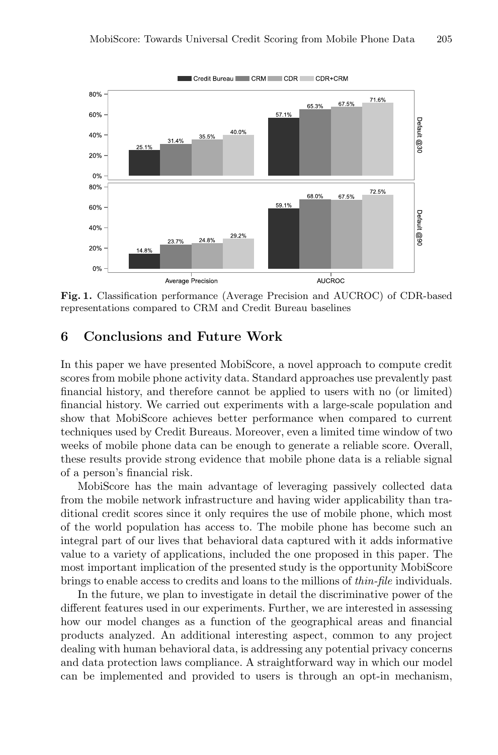

<span id="page-10-0"></span>**Fig. 1.** Classification performance (Average Precision and AUCROC) of CDR-based representations compared to CRM and Credit Bureau baselines

### **6 Conclusions and Future Work**

In this paper we have presented MobiScore, a novel approach to compute credit scores from mobile phone activity data. Standard approaches use prevalently past financial history, and therefore cannot be applied to users with no (or limited) financial history. We carried out experiments with a large-scale population and show that MobiScore achieves better performance when compared to current techniques used by Credit Bureaus. Moreover, even a limited time window of two weeks of mobile phone data can be enough to generate a reliable score. Overall, these results provide strong evidence that mobile phone data is a reliable signal of a person's financial risk.

MobiScore has the main advantage of leveraging passively collected data from the mobile network infrastructure and having wider applicability than traditional credit scores since it only requires the use of mobile phone, which most of the world population has access to. The mobile phone has become such an integral part of our lives that behavioral data captured with it adds informative value to a variety of applications, included the one proposed in this paper. The most important implication of the presented study is the opportunity MobiScore brings to enable access to credits and loans to the millions of *thin-file* individuals.

In the future, we plan to investigate in detail the discriminative power of the different features used in our experiments. Further, we are interested in assessing how our model changes as a function of the geographical areas and financial products analyzed. An additional interesting aspect, common to any project dealing with human behavioral data, is addressing any potential privacy concerns and data protection laws compliance. A straightforward way in which our model can be implemented and provided to users is through an opt-in mechanism,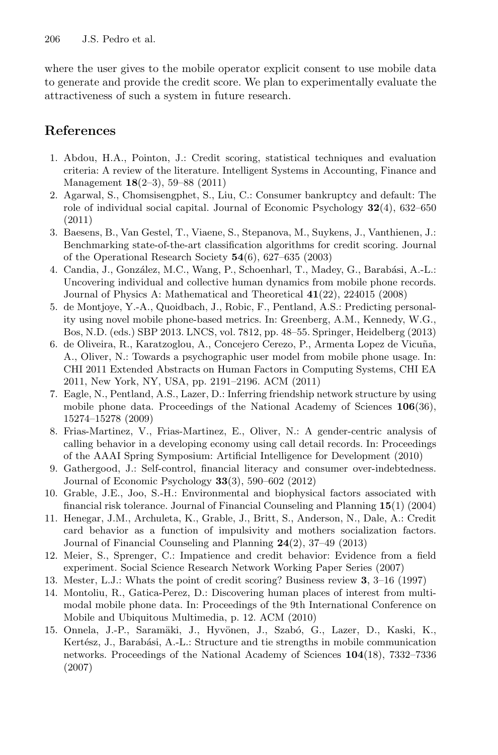where the user gives to the mobile operator explicit consent to use mobile data to generate and provide the credit score. We plan to experimentally evaluate the attractiveness of such a system in future research.

## <span id="page-11-6"></span>**References**

- 1. Abdou, H.A., Pointon, J.: Credit scoring, statistical techniques and evaluation criteria: A review of the literature. Intelligent Systems in Accounting, Finance and Management **18**(2–3), 59–88 (2011)
- <span id="page-11-9"></span>2. Agarwal, S., Chomsisengphet, S., Liu, C.: Consumer bankruptcy and default: The role of individual social capital. Journal of Economic Psychology **32**(4), 632–650 (2011)
- <span id="page-11-7"></span>3. Baesens, B., Van Gestel, T., Viaene, S., Stepanova, M., Suykens, J., Vanthienen, J.: Benchmarking state-of-the-art classification algorithms for credit scoring. Journal of the Operational Research Society **54**(6), 627–635 (2003)
- <span id="page-11-12"></span>4. Candia, J., González, M.C., Wang, P., Schoenharl, T., Madey, G., Barabási, A.-L.: Uncovering individual and collective human dynamics from mobile phone records. Journal of Physics A: Mathematical and Theoretical **41**(22), 224015 (2008)
- <span id="page-11-3"></span>5. de Montjoye, Y.-A., Quoidbach, J., Robic, F., Pentland, A.S.: Predicting personality using novel mobile phone-based metrics. In: Greenberg, A.M., Kennedy, W.G., Bos, N.D. (eds.) SBP 2013. LNCS, vol. 7812, pp. 48–55. Springer, Heidelberg (2013)
- <span id="page-11-4"></span>6. de Oliveira, R., Karatzoglou, A., Concejero Cerezo, P., Armenta Lopez de Vicuña, A., Oliver, N.: Towards a psychographic user model from mobile phone usage. In: CHI 2011 Extended Abstracts on Human Factors in Computing Systems, CHI EA 2011, New York, NY, USA, pp. 2191–2196. ACM (2011)
- <span id="page-11-11"></span>7. Eagle, N., Pentland, A.S., Lazer, D.: Inferring friendship network structure by using mobile phone data. Proceedings of the National Academy of Sciences **106**(36), 15274–15278 (2009)
- <span id="page-11-13"></span>8. Frias-Martinez, V., Frias-Martinez, E., Oliver, N.: A gender-centric analysis of calling behavior in a developing economy using call detail records. In: Proceedings of the AAAI Spring Symposium: Artificial Intelligence for Development (2010)
- <span id="page-11-5"></span>9. Gathergood, J.: Self-control, financial literacy and consumer over-indebtedness. Journal of Economic Psychology **33**(3), 590–602 (2012)
- <span id="page-11-1"></span>10. Grable, J.E., Joo, S.-H.: Environmental and biophysical factors associated with financial risk tolerance. Journal of Financial Counseling and Planning **15**(1) (2004)
- <span id="page-11-2"></span>11. Henegar, J.M., Archuleta, K., Grable, J., Britt, S., Anderson, N., Dale, A.: Credit card behavior as a function of impulsivity and mothers socialization factors. Journal of Financial Counseling and Planning **24**(2), 37–49 (2013)
- <span id="page-11-8"></span>12. Meier, S., Sprenger, C.: Impatience and credit behavior: Evidence from a field experiment. Social Science Research Network Working Paper Series (2007)
- <span id="page-11-0"></span>13. Mester, L.J.: Whats the point of credit scoring? Business review **3**, 3–16 (1997)
- <span id="page-11-10"></span>14. Montoliu, R., Gatica-Perez, D.: Discovering human places of interest from multimodal mobile phone data. In: Proceedings of the 9th International Conference on Mobile and Ubiquitous Multimedia, p. 12. ACM (2010)
- <span id="page-11-14"></span>15. Onnela, J.-P., Saramäki, J., Hyvönen, J., Szabó, G., Lazer, D., Kaski, K., Kertész, J., Barabási, A.-L.: Structure and tie strengths in mobile communication networks. Proceedings of the National Academy of Sciences **104**(18), 7332–7336 (2007)